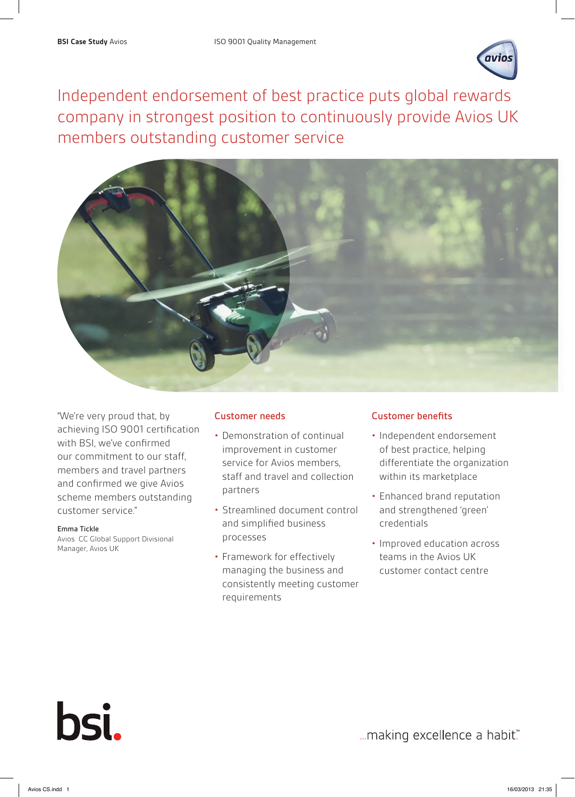

Independent endorsement of best practice puts global rewards company in strongest position to continuously provide Avios UK members outstanding customer service



"We're very proud that, by achieving ISO 9001 certification with BSI, we've confirmed our commitment to our staff, members and travel partners and confirmed we give Avios scheme members outstanding customer service."

# Emma Tickle

bsi.

Avios CC Global Support Divisional Manager, Avios UK

# Customer needs

- Demonstration of continual improvement in customer service for Avios members, staff and travel and collection partners
- Streamlined document control and simplified business processes
- Framework for effectively managing the business and consistently meeting customer requirements

# Customer benefits

- Independent endorsement of best practice, helping differentiate the organization within its marketplace
- Enhanced brand reputation and strengthened 'green' credentials
- Improved education across teams in the Avios UK customer contact centre